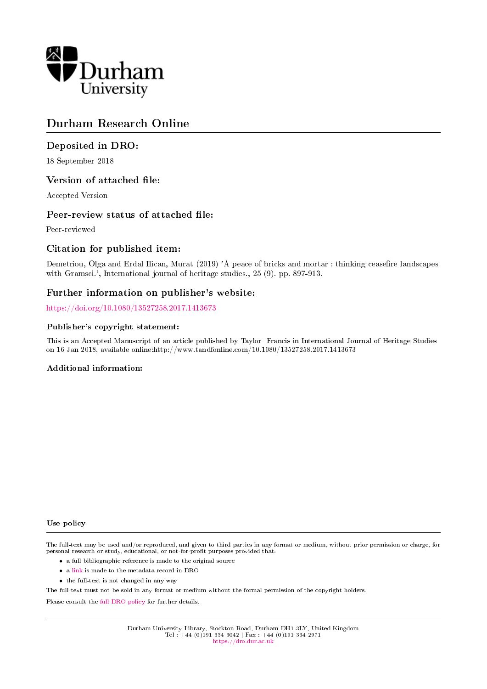

# Durham Research Online

## Deposited in DRO:

18 September 2018

## Version of attached file:

Accepted Version

## Peer-review status of attached file:

Peer-reviewed

# Citation for published item:

Demetriou, Olga and Erdal Ilican, Murat (2019) 'A peace of bricks and mortar : thinking ceasefire landscapes with Gramsci.', International journal of heritage studies., 25 (9). pp. 897-913.

# Further information on publisher's website:

<https://doi.org/10.1080/13527258.2017.1413673>

#### Publisher's copyright statement:

This is an Accepted Manuscript of an article published by Taylor Francis in International Journal of Heritage Studies on 16 Jan 2018, available online:http://www.tandfonline.com/10.1080/13527258.2017.1413673

## Additional information:

Use policy

The full-text may be used and/or reproduced, and given to third parties in any format or medium, without prior permission or charge, for personal research or study, educational, or not-for-profit purposes provided that:

- a full bibliographic reference is made to the original source
- a [link](http://dro.dur.ac.uk/26220/) is made to the metadata record in DRO
- the full-text is not changed in any way

The full-text must not be sold in any format or medium without the formal permission of the copyright holders.

Please consult the [full DRO policy](https://dro.dur.ac.uk/policies/usepolicy.pdf) for further details.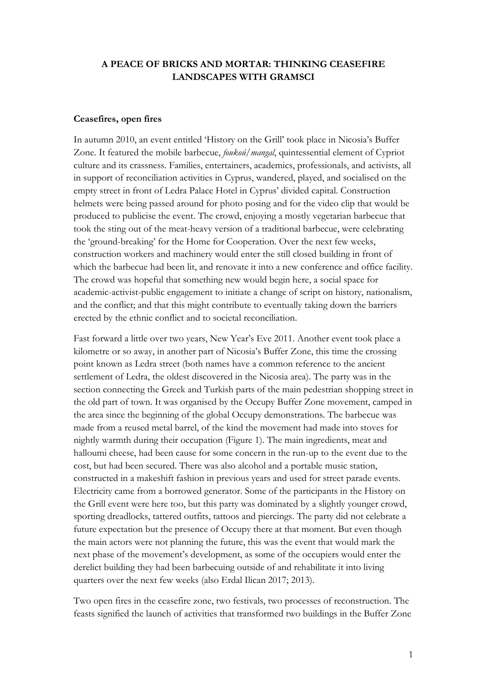# **A PEACE OF BRICKS AND MORTAR: THINKING CEASEFIRE LANDSCAPES WITH GRAMSCI**

## **Ceasefires, open fires**

In autumn 2010, an event entitled 'History on the Grill' took place in Nicosia's Buffer Zone. It featured the mobile barbecue, *foukoú/mangal*, quintessential element of Cypriot culture and its crassness. Families, entertainers, academics, professionals, and activists, all in support of reconciliation activities in Cyprus, wandered, played, and socialised on the empty street in front of Ledra Palace Hotel in Cyprus' divided capital. Construction helmets were being passed around for photo posing and for the video clip that would be produced to publicise the event. The crowd, enjoying a mostly vegetarian barbecue that took the sting out of the meat-heavy version of a traditional barbecue, were celebrating the 'ground-breaking' for the Home for Cooperation. Over the next few weeks, construction workers and machinery would enter the still closed building in front of which the barbecue had been lit, and renovate it into a new conference and office facility. The crowd was hopeful that something new would begin here, a social space for academic-activist-public engagement to initiate a change of script on history, nationalism, and the conflict; and that this might contribute to eventually taking down the barriers erected by the ethnic conflict and to societal reconciliation.

Fast forward a little over two years, New Year's Eve 2011. Another event took place a kilometre or so away, in another part of Nicosia's Buffer Zone, this time the crossing point known as Ledra street (both names have a common reference to the ancient settlement of Ledra, the oldest discovered in the Nicosia area). The party was in the section connecting the Greek and Turkish parts of the main pedestrian shopping street in the old part of town. It was organised by the Occupy Buffer Zone movement, camped in the area since the beginning of the global Occupy demonstrations. The barbecue was made from a reused metal barrel, of the kind the movement had made into stoves for nightly warmth during their occupation (Figure 1). The main ingredients, meat and halloumi cheese, had been cause for some concern in the run-up to the event due to the cost, but had been secured. There was also alcohol and a portable music station, constructed in a makeshift fashion in previous years and used for street parade events. Electricity came from a borrowed generator. Some of the participants in the History on the Grill event were here too, but this party was dominated by a slightly younger crowd, sporting dreadlocks, tattered outfits, tattoos and piercings. The party did not celebrate a future expectation but the presence of Occupy there at that moment. But even though the main actors were not planning the future, this was the event that would mark the next phase of the movement's development, as some of the occupiers would enter the derelict building they had been barbecuing outside of and rehabilitate it into living quarters over the next few weeks (also Erdal Ilican 2017; 2013).

Two open fires in the ceasefire zone, two festivals, two processes of reconstruction. The feasts signified the launch of activities that transformed two buildings in the Buffer Zone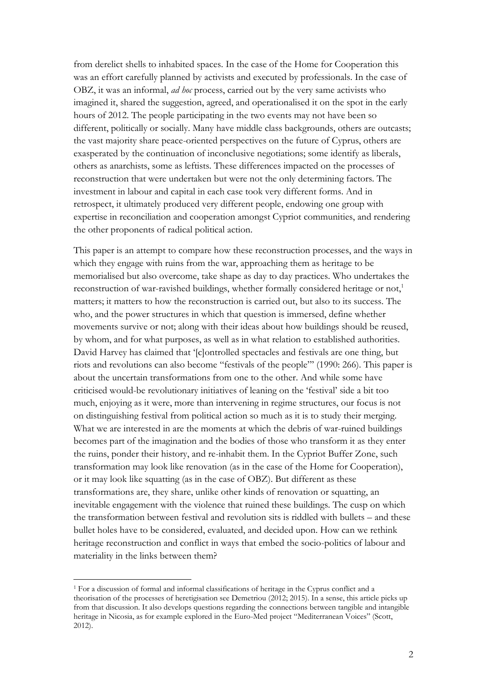from derelict shells to inhabited spaces. In the case of the Home for Cooperation this was an effort carefully planned by activists and executed by professionals. In the case of OBZ, it was an informal, *ad hoc* process, carried out by the very same activists who imagined it, shared the suggestion, agreed, and operationalised it on the spot in the early hours of 2012. The people participating in the two events may not have been so different, politically or socially. Many have middle class backgrounds, others are outcasts; the vast majority share peace-oriented perspectives on the future of Cyprus, others are exasperated by the continuation of inconclusive negotiations; some identify as liberals, others as anarchists, some as leftists. These differences impacted on the processes of reconstruction that were undertaken but were not the only determining factors. The investment in labour and capital in each case took very different forms. And in retrospect, it ultimately produced very different people, endowing one group with expertise in reconciliation and cooperation amongst Cypriot communities, and rendering the other proponents of radical political action.

This paper is an attempt to compare how these reconstruction processes, and the ways in which they engage with ruins from the war, approaching them as heritage to be memorialised but also overcome, take shape as day to day practices. Who undertakes the reconstruction of war-ravished buildings, whether formally considered heritage or not,<sup>1</sup> matters; it matters to how the reconstruction is carried out, but also to its success. The who, and the power structures in which that question is immersed, define whether movements survive or not; along with their ideas about how buildings should be reused, by whom, and for what purposes, as well as in what relation to established authorities. David Harvey has claimed that '[c]ontrolled spectacles and festivals are one thing, but riots and revolutions can also become "festivals of the people"' (1990: 266). This paper is about the uncertain transformations from one to the other. And while some have criticised would-be revolutionary initiatives of leaning on the 'festival' side a bit too much, enjoying as it were, more than intervening in regime structures, our focus is not on distinguishing festival from political action so much as it is to study their merging. What we are interested in are the moments at which the debris of war-ruined buildings becomes part of the imagination and the bodies of those who transform it as they enter the ruins, ponder their history, and re-inhabit them. In the Cypriot Buffer Zone, such transformation may look like renovation (as in the case of the Home for Cooperation), or it may look like squatting (as in the case of OBZ). But different as these transformations are, they share, unlike other kinds of renovation or squatting, an inevitable engagement with the violence that ruined these buildings. The cusp on which the transformation between festival and revolution sits is riddled with bullets – and these bullet holes have to be considered, evaluated, and decided upon. How can we rethink heritage reconstruction and conflict in ways that embed the socio-politics of labour and materiality in the links between them?

<sup>&</sup>lt;sup>1</sup> For a discussion of formal and informal classifications of heritage in the Cyprus conflict and a theorisation of the processes of heretigisation see Demetriou (2012; 2015). In a sense, this article picks up from that discussion. It also develops questions regarding the connections between tangible and intangible heritage in Nicosia, as for example explored in the Euro-Med project "Mediterranean Voices" (Scott, 2012).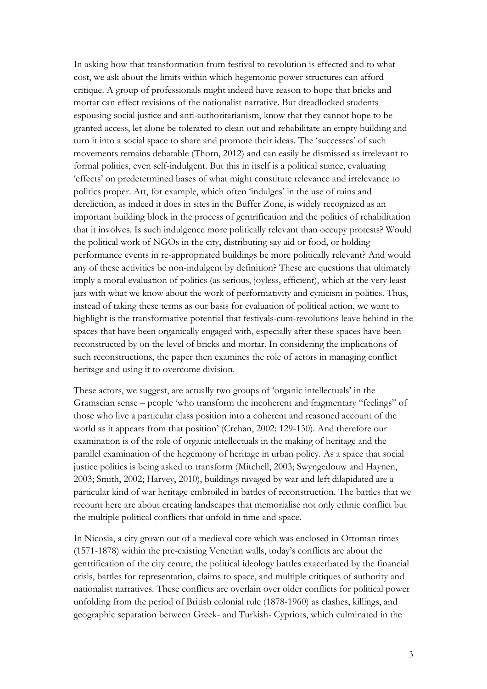In asking how that transformation from festival to revolution is effected and to what cost, we ask about the limits within which hegemonic power structures can afford critique. A group of professionals might indeed have reason to hope that bricks and mortar can effect revisions of the nationalist narrative. But dreadlocked students espousing social justice and anti-authoritarianism, know that they cannot hope to be granted access, let alone be tolerated to clean out and rehabilitate an empty building and turn it into a social space to share and promote their ideas. The 'successes' of such movements remains debatable (Thorn, 2012) and can easily be dismissed as irrelevant to formal politics, even self-indulgent. But this in itself is a political stance, evaluating 'effects' on predetermined bases of what might constitute relevance and irrelevance to politics proper. Art, for example, which often 'indulges' in the use of ruins and dereliction, as indeed it does in sites in the Buffer Zone, is widely recognized as an important building block in the process of gentrification and the politics of rehabilitation that it involves. Is such indulgence more politically relevant than occupy protests? Would the political work of NGOs in the city, distributing say aid or food, or holding performance events in re-appropriated buildings be more politically relevant? And would any of these activities be non-indulgent by definition? These are questions that ultimately imply a moral evaluation of politics (as serious, joyless, efficient), which at the very least jars with what we know about the work of performativity and cynicism in politics. Thus, instead of taking these terms as our basis for evaluation of political action, we want to highlight is the transformative potential that festivals-cum-revolutions leave behind in the spaces that have been organically engaged with, especially after these spaces have been reconstructed by on the level of bricks and mortar. In considering the implications of such reconstructions, the paper then examines the role of actors in managing conflict heritage and using it to overcome division.

These actors, we suggest, are actually two groups of 'organic intellectuals' in the Gramscian sense – people 'who transform the incoherent and fragmentary "feelings" of those who live a particular class position into a coherent and reasoned account of the world as it appears from that position' (Crehan, 2002: 129-130). And therefore our examination is of the role of organic intellectuals in the making of heritage and the parallel examination of the hegemony of heritage in urban policy. As a space that social justice politics is being asked to transform (Mitchell, 2003; Swyngedouw and Haynen, 2003; Smith, 2002; Harvey, 2010), buildings ravaged by war and left dilapidated are a particular kind of war heritage embroiled in battles of reconstruction. The battles that we recount here are about creating landscapes that memorialise not only ethnic conflict but the multiple political conflicts that unfold in time and space.

In Nicosia, a city grown out of a medieval core which was enclosed in Ottoman times (1571-1878) within the pre-existing Venetian walls, today's conflicts are about the gentrification of the city centre, the political ideology battles exacerbated by the financial crisis, battles for representation, claims to space, and multiple critiques of authority and nationalist narratives. These conflicts are overlain over older conflicts for political power unfolding from the period of British colonial rule (1878-1960) as clashes, killings, and geographic separation between Greek- and Turkish- Cypriots, which culminated in the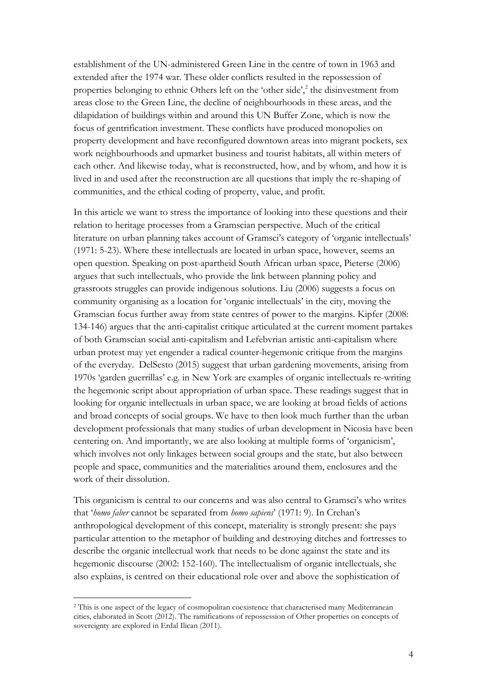establishment of the UN-administered Green Line in the centre of town in 1963 and extended after the 1974 war. These older conflicts resulted in the repossession of properties belonging to ethnic Others left on the 'other side',<sup>2</sup> the disinvestment from areas close to the Green Line, the decline of neighbourhoods in these areas, and the dilapidation of buildings within and around this UN Buffer Zone, which is now the focus of gentrification investment. These conflicts have produced monopolies on property development and have reconfigured downtown areas into migrant pockets, sex work neighbourhoods and upmarket business and tourist habitats, all within meters of each other. And likewise today, what is reconstructed, how, and by whom, and how it is lived in and used after the reconstruction are all questions that imply the re-shaping of communities, and the ethical coding of property, value, and profit.

In this article we want to stress the importance of looking into these questions and their relation to heritage processes from a Gramscian perspective. Much of the critical literature on urban planning takes account of Gramsci's category of 'organic intellectuals' (1971: 5-23). Where these intellectuals are located in urban space, however, seems an open question. Speaking on post-apartheid South African urban space, Pieterse (2006) argues that such intellectuals, who provide the link between planning policy and grassroots struggles can provide indigenous solutions. Liu (2006) suggests a focus on community organising as a location for 'organic intellectuals' in the city, moving the Gramscian focus further away from state centres of power to the margins. Kipfer (2008: 134-146) argues that the anti-capitalist critique articulated at the current moment partakes of both Gramscian social anti-capitalism and Lefebvrian artistic anti-capitalism where urban protest may yet engender a radical counter-hegemonic critique from the margins of the everyday. DelSesto (2015) suggest that urban gardening movements, arising from 1970s 'garden guerrillas' e.g. in New York are examples of organic intellectuals re-writing the hegemonic script about appropriation of urban space. These readings suggest that in looking for organic intellectuals in urban space, we are looking at broad fields of actions and broad concepts of social groups. We have to then look much further than the urban development professionals that many studies of urban development in Nicosia have been centering on. And importantly, we are also looking at multiple forms of 'organicism', which involves not only linkages between social groups and the state, but also between people and space, communities and the materialities around them, enclosures and the work of their dissolution.

This organicism is central to our concerns and was also central to Gramsci's who writes that '*homo faber* cannot be separated from *homo sapiens*' (1971: 9). In Crehan's anthropological development of this concept, materiality is strongly present: she pays particular attention to the metaphor of building and destroying ditches and fortresses to describe the organic intellectual work that needs to be done against the state and its hegemonic discourse (2002: 152-160). The intellectualism of organic intellectuals, she also explains, is centred on their educational role over and above the sophistication of

<sup>2</sup> This is one aspect of the legacy of cosmopolitan coexistence that characterised many Mediterranean cities, elaborated in Scott (2012). The ramifications of repossession of Other properties on concepts of sovereignty are explored in Erdal Ilican (2011).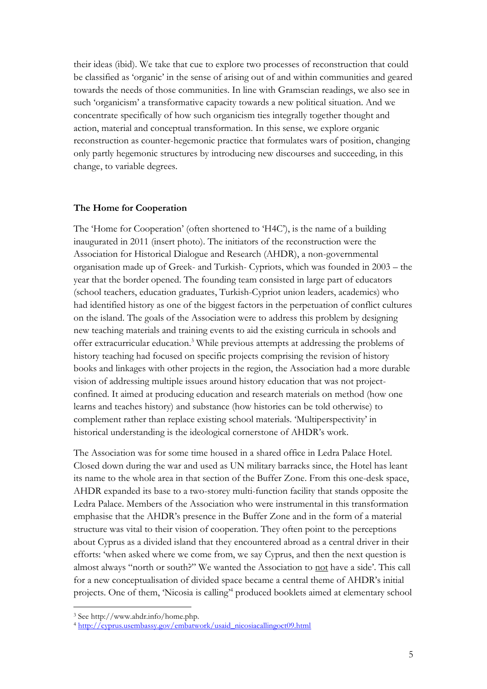their ideas (ibid). We take that cue to explore two processes of reconstruction that could be classified as 'organic' in the sense of arising out of and within communities and geared towards the needs of those communities. In line with Gramscian readings, we also see in such 'organicism' a transformative capacity towards a new political situation. And we concentrate specifically of how such organicism ties integrally together thought and action, material and conceptual transformation. In this sense, we explore organic reconstruction as counter-hegemonic practice that formulates wars of position, changing only partly hegemonic structures by introducing new discourses and succeeding, in this change, to variable degrees.

#### **The Home for Cooperation**

The 'Home for Cooperation' (often shortened to 'H4C'), is the name of a building inaugurated in 2011 (insert photo). The initiators of the reconstruction were the Association for Historical Dialogue and Research (AHDR), a non-governmental organisation made up of Greek- and Turkish- Cypriots, which was founded in 2003 – the year that the border opened. The founding team consisted in large part of educators (school teachers, education graduates, Turkish-Cypriot union leaders, academics) who had identified history as one of the biggest factors in the perpetuation of conflict cultures on the island. The goals of the Association were to address this problem by designing new teaching materials and training events to aid the existing curricula in schools and offer extracurricular education.<sup>3</sup> While previous attempts at addressing the problems of history teaching had focused on specific projects comprising the revision of history books and linkages with other projects in the region, the Association had a more durable vision of addressing multiple issues around history education that was not projectconfined. It aimed at producing education and research materials on method (how one learns and teaches history) and substance (how histories can be told otherwise) to complement rather than replace existing school materials. 'Multiperspectivity' in historical understanding is the ideological cornerstone of AHDR's work.

The Association was for some time housed in a shared office in Ledra Palace Hotel. Closed down during the war and used as UN military barracks since, the Hotel has leant its name to the whole area in that section of the Buffer Zone. From this one-desk space, AHDR expanded its base to a two-storey multi-function facility that stands opposite the Ledra Palace. Members of the Association who were instrumental in this transformation emphasise that the AHDR's presence in the Buffer Zone and in the form of a material structure was vital to their vision of cooperation. They often point to the perceptions about Cyprus as a divided island that they encountered abroad as a central driver in their efforts: 'when asked where we come from, we say Cyprus, and then the next question is almost always "north or south?" We wanted the Association to not have a side'. This call for a new conceptualisation of divided space became a central theme of AHDR's initial projects. One of them, 'Nicosia is calling'<sup>4</sup> produced booklets aimed at elementary school

<sup>3</sup> See http://www.ahdr.info/home.php.

<sup>4</sup> [http://cyprus.usembassy.gov/embatwork/usaid\\_nicosiacallingoct09.html](http://cyprus.usembassy.gov/embatwork/usaid_nicosiacallingoct09.html)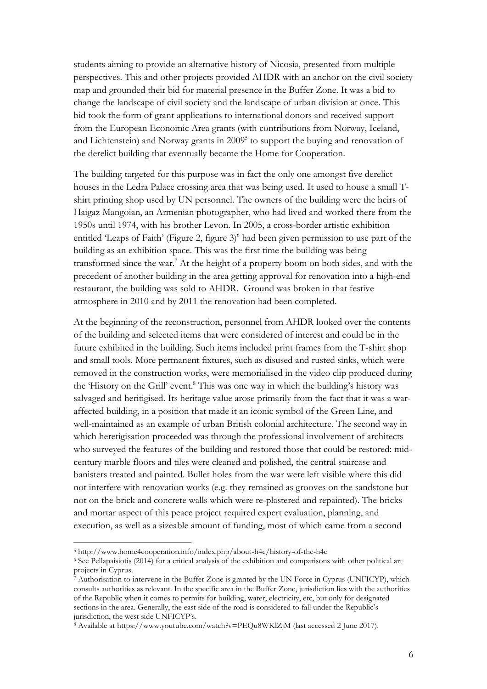students aiming to provide an alternative history of Nicosia, presented from multiple perspectives. This and other projects provided AHDR with an anchor on the civil society map and grounded their bid for material presence in the Buffer Zone. It was a bid to change the landscape of civil society and the landscape of urban division at once. This bid took the form of grant applications to international donors and received support from the European Economic Area grants (with contributions from Norway, Iceland, and Lichtenstein) and Norway grants in 2009<sup>5</sup> to support the buying and renovation of the derelict building that eventually became the Home for Cooperation.

The building targeted for this purpose was in fact the only one amongst five derelict houses in the Ledra Palace crossing area that was being used. It used to house a small Tshirt printing shop used by UN personnel. The owners of the building were the heirs of Haigaz Mangoian, an Armenian photographer, who had lived and worked there from the 1950s until 1974, with his brother Levon. In 2005, a cross-border artistic exhibition entitled 'Leaps of Faith' (Figure 2, figure  $3$ )<sup>6</sup> had been given permission to use part of the building as an exhibition space. This was the first time the building was being transformed since the war.<sup>7</sup> At the height of a property boom on both sides, and with the precedent of another building in the area getting approval for renovation into a high-end restaurant, the building was sold to AHDR. Ground was broken in that festive atmosphere in 2010 and by 2011 the renovation had been completed.

At the beginning of the reconstruction, personnel from AHDR looked over the contents of the building and selected items that were considered of interest and could be in the future exhibited in the building. Such items included print frames from the T-shirt shop and small tools. More permanent fixtures, such as disused and rusted sinks, which were removed in the construction works, were memorialised in the video clip produced during the 'History on the Grill' event.<sup>8</sup> This was one way in which the building's history was salvaged and heritigised. Its heritage value arose primarily from the fact that it was a waraffected building, in a position that made it an iconic symbol of the Green Line, and well-maintained as an example of urban British colonial architecture. The second way in which heretigisation proceeded was through the professional involvement of architects who surveyed the features of the building and restored those that could be restored: midcentury marble floors and tiles were cleaned and polished, the central staircase and banisters treated and painted. Bullet holes from the war were left visible where this did not interfere with renovation works (e.g. they remained as grooves on the sandstone but not on the brick and concrete walls which were re-plastered and repainted). The bricks and mortar aspect of this peace project required expert evaluation, planning, and execution, as well as a sizeable amount of funding, most of which came from a second

<sup>5</sup> http://www.home4cooperation.info/index.php/about-h4c/history-of-the-h4c

<sup>6</sup> See Pellapaisiotis (2014) for a critical analysis of the exhibition and comparisons with other political art projects in Cyprus.

 $^{7}$  Authorisation to intervene in the Buffer Zone is granted by the UN Force in Cyprus (UNFICYP), which consults authorities as relevant. In the specific area in the Buffer Zone, jurisdiction lies with the authorities of the Republic when it comes to permits for building, water, electricity, etc, but only for designated sections in the area. Generally, the east side of the road is considered to fall under the Republic's jurisdiction, the west side UNFICYP's.

<sup>8</sup> Available at https://www.youtube.com/watch?v=PEQu8WKlZjM (last accessed 2 June 2017).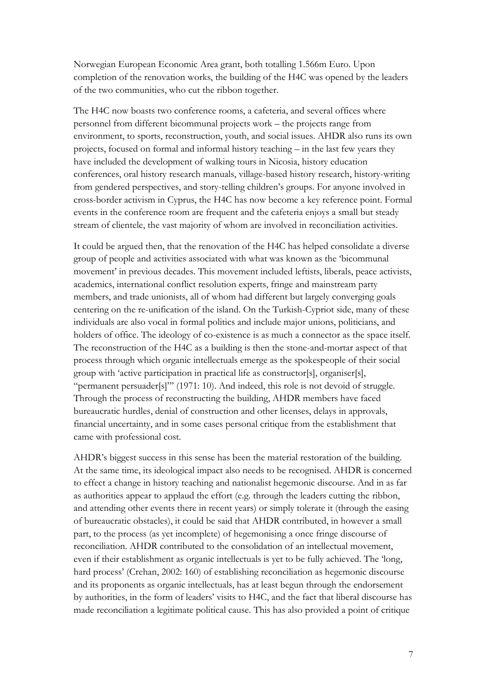Norwegian European Economic Area grant, both totalling 1.566m Euro. Upon completion of the renovation works, the building of the H4C was opened by the leaders of the two communities, who cut the ribbon together.

The H4C now boasts two conference rooms, a cafeteria, and several offices where personnel from different bicommunal projects work – the projects range from environment, to sports, reconstruction, youth, and social issues. AHDR also runs its own projects, focused on formal and informal history teaching – in the last few years they have included the development of walking tours in Nicosia, history education conferences, oral history research manuals, village-based history research, history-writing from gendered perspectives, and story-telling children's groups. For anyone involved in cross-border activism in Cyprus, the H4C has now become a key reference point. Formal events in the conference room are frequent and the cafeteria enjoys a small but steady stream of clientele, the vast majority of whom are involved in reconciliation activities.

It could be argued then, that the renovation of the H4C has helped consolidate a diverse group of people and activities associated with what was known as the 'bicommunal movement' in previous decades. This movement included leftists, liberals, peace activists, academics, international conflict resolution experts, fringe and mainstream party members, and trade unionists, all of whom had different but largely converging goals centering on the re-unification of the island. On the Turkish-Cypriot side, many of these individuals are also vocal in formal politics and include major unions, politicians, and holders of office. The ideology of co-existence is as much a connector as the space itself. The reconstruction of the H4C as a building is then the stone-and-mortar aspect of that process through which organic intellectuals emerge as the spokespeople of their social group with 'active participation in practical life as constructor[s], organiser[s], "permanent persuader[s]"" (1971: 10). And indeed, this role is not devoid of struggle. Through the process of reconstructing the building, AHDR members have faced bureaucratic hurdles, denial of construction and other licenses, delays in approvals, financial uncertainty, and in some cases personal critique from the establishment that came with professional cost.

AHDR's biggest success in this sense has been the material restoration of the building. At the same time, its ideological impact also needs to be recognised. AHDR is concerned to effect a change in history teaching and nationalist hegemonic discourse. And in as far as authorities appear to applaud the effort (e.g. through the leaders cutting the ribbon, and attending other events there in recent years) or simply tolerate it (through the easing of bureaucratic obstacles), it could be said that AHDR contributed, in however a small part, to the process (as yet incomplete) of hegemonising a once fringe discourse of reconciliation. AHDR contributed to the consolidation of an intellectual movement, even if their establishment as organic intellectuals is yet to be fully achieved. The 'long, hard process' (Crehan, 2002: 160) of establishing reconciliation as hegemonic discourse and its proponents as organic intellectuals, has at least begun through the endorsement by authorities, in the form of leaders' visits to H4C, and the fact that liberal discourse has made reconciliation a legitimate political cause. This has also provided a point of critique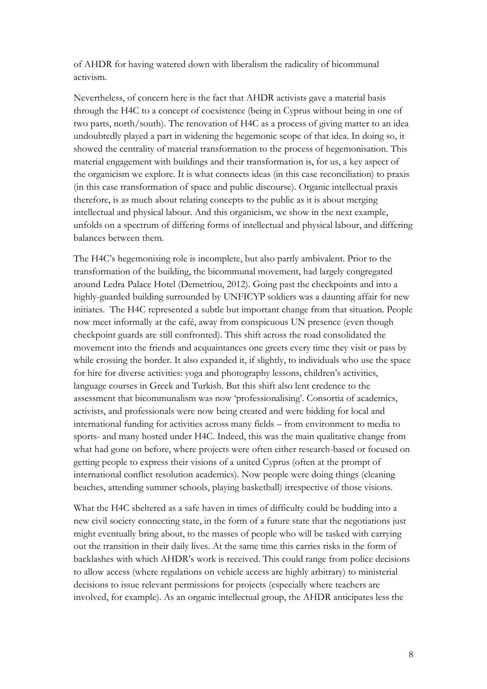of AHDR for having watered down with liberalism the radicality of bicommunal activism.

Nevertheless, of concern here is the fact that AHDR activists gave a material basis through the H4C to a concept of coexistence (being in Cyprus without being in one of two parts, north/south). The renovation of H4C as a process of giving matter to an idea undoubtedly played a part in widening the hegemonic scope of that idea. In doing so, it showed the centrality of material transformation to the process of hegemonisation. This material engagement with buildings and their transformation is, for us, a key aspect of the organicism we explore. It is what connects ideas (in this case reconciliation) to praxis (in this case transformation of space and public discourse). Organic intellectual praxis therefore, is as much about relating concepts to the public as it is about merging intellectual and physical labour. And this organicism, we show in the next example, unfolds on a spectrum of differing forms of intellectual and physical labour, and differing balances between them.

The H4C's hegemonising role is incomplete, but also partly ambivalent. Prior to the transformation of the building, the bicommunal movement, had largely congregated around Ledra Palace Hotel (Demetriou, 2012). Going past the checkpoints and into a highly-guarded building surrounded by UNFICYP soldiers was a daunting affair for new initiates. The H4C represented a subtle but important change from that situation. People now meet informally at the café, away from conspicuous UN presence (even though checkpoint guards are still confronted). This shift across the road consolidated the movement into the friends and acquaintances one greets every time they visit or pass by while crossing the border. It also expanded it, if slightly, to individuals who use the space for hire for diverse activities: yoga and photography lessons, children's activities, language courses in Greek and Turkish. But this shift also lent credence to the assessment that bicommunalism was now 'professionalising'. Consortia of academics, activists, and professionals were now being created and were bidding for local and international funding for activities across many fields – from environment to media to sports- and many hosted under H4C. Indeed, this was the main qualitative change from what had gone on before, where projects were often either research-based or focused on getting people to express their visions of a united Cyprus (often at the prompt of international conflict resolution academics). Now people were doing things (cleaning beaches, attending summer schools, playing basketball) irrespective of those visions.

What the H4C sheltered as a safe haven in times of difficulty could be budding into a new civil society connecting state, in the form of a future state that the negotiations just might eventually bring about, to the masses of people who will be tasked with carrying out the transition in their daily lives. At the same time this carries risks in the form of backlashes with which AHDR's work is received. This could range from police decisions to allow access (where regulations on vehicle access are highly arbitrary) to ministerial decisions to issue relevant permissions for projects (especially where teachers are involved, for example). As an organic intellectual group, the AHDR anticipates less the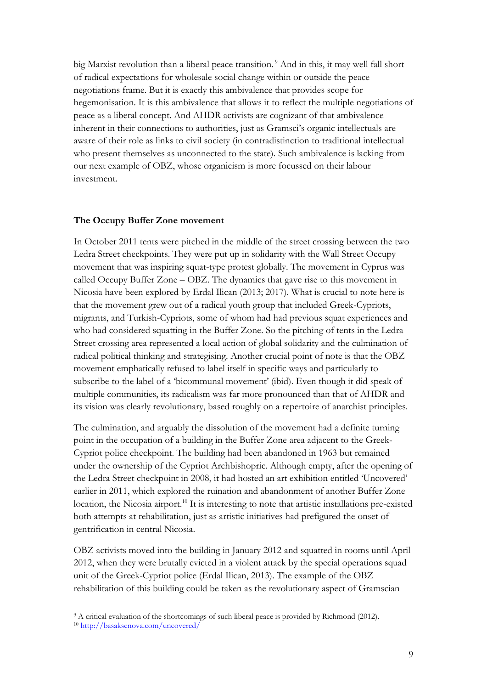big Marxist revolution than a liberal peace transition.<sup>9</sup> And in this, it may well fall short of radical expectations for wholesale social change within or outside the peace negotiations frame. But it is exactly this ambivalence that provides scope for hegemonisation. It is this ambivalence that allows it to reflect the multiple negotiations of peace as a liberal concept. And AHDR activists are cognizant of that ambivalence inherent in their connections to authorities, just as Gramsci's organic intellectuals are aware of their role as links to civil society (in contradistinction to traditional intellectual who present themselves as unconnected to the state). Such ambivalence is lacking from our next example of OBZ, whose organicism is more focussed on their labour investment.

## **The Occupy Buffer Zone movement**

-

In October 2011 tents were pitched in the middle of the street crossing between the two Ledra Street checkpoints. They were put up in solidarity with the Wall Street Occupy movement that was inspiring squat-type protest globally. The movement in Cyprus was called Occupy Buffer Zone – OBZ. The dynamics that gave rise to this movement in Nicosia have been explored by Erdal Ilican (2013; 2017). What is crucial to note here is that the movement grew out of a radical youth group that included Greek-Cypriots, migrants, and Turkish-Cypriots, some of whom had had previous squat experiences and who had considered squatting in the Buffer Zone. So the pitching of tents in the Ledra Street crossing area represented a local action of global solidarity and the culmination of radical political thinking and strategising. Another crucial point of note is that the OBZ movement emphatically refused to label itself in specific ways and particularly to subscribe to the label of a 'bicommunal movement' (ibid). Even though it did speak of multiple communities, its radicalism was far more pronounced than that of AHDR and its vision was clearly revolutionary, based roughly on a repertoire of anarchist principles.

The culmination, and arguably the dissolution of the movement had a definite turning point in the occupation of a building in the Buffer Zone area adjacent to the Greek-Cypriot police checkpoint. The building had been abandoned in 1963 but remained under the ownership of the Cypriot Archbishopric. Although empty, after the opening of the Ledra Street checkpoint in 2008, it had hosted an art exhibition entitled 'Uncovered' earlier in 2011, which explored the ruination and abandonment of another Buffer Zone location, the Nicosia airport.<sup>10</sup> It is interesting to note that artistic installations pre-existed both attempts at rehabilitation, just as artistic initiatives had prefigured the onset of gentrification in central Nicosia.

OBZ activists moved into the building in January 2012 and squatted in rooms until April 2012, when they were brutally evicted in a violent attack by the special operations squad unit of the Greek-Cypriot police (Erdal Ilican, 2013). The example of the OBZ rehabilitation of this building could be taken as the revolutionary aspect of Gramscian

<sup>9</sup> A critical evaluation of the shortcomings of such liberal peace is provided by Richmond (2012). <sup>10</sup> <http://basaksenova.com/uncovered/>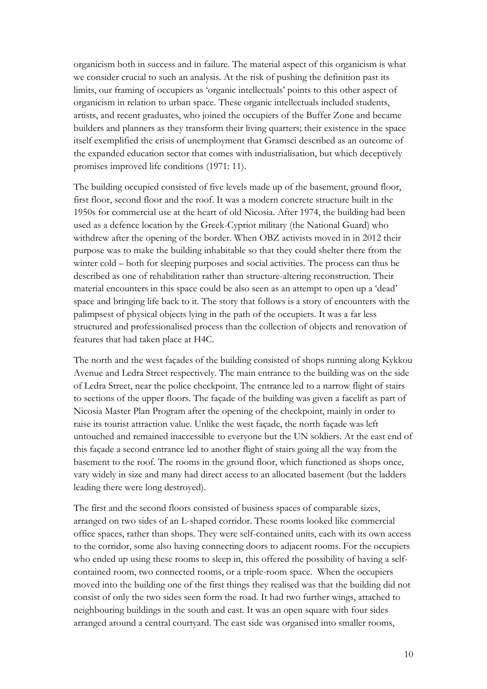organicism both in success and in failure. The material aspect of this organicism is what we consider crucial to such an analysis. At the risk of pushing the definition past its limits, our framing of occupiers as 'organic intellectuals' points to this other aspect of organicism in relation to urban space. These organic intellectuals included students, artists, and recent graduates, who joined the occupiers of the Buffer Zone and became builders and planners as they transform their living quarters; their existence in the space itself exemplified the crisis of unemployment that Gramsci described as an outcome of the expanded education sector that comes with industrialisation, but which deceptively promises improved life conditions (1971: 11).

The building occupied consisted of five levels made up of the basement, ground floor, first floor, second floor and the roof. It was a modern concrete structure built in the 1950s for commercial use at the heart of old Nicosia. After 1974, the building had been used as a defence location by the Greek-Cypriot military (the National Guard) who withdrew after the opening of the border. When OBZ activists moved in in 2012 their purpose was to make the building inhabitable so that they could shelter there from the winter cold – both for sleeping purposes and social activities. The process can thus be described as one of rehabilitation rather than structure-altering reconstruction. Their material encounters in this space could be also seen as an attempt to open up a 'dead' space and bringing life back to it. The story that follows is a story of encounters with the palimpsest of physical objects lying in the path of the occupiers. It was a far less structured and professionalised process than the collection of objects and renovation of features that had taken place at H4C.

The north and the west façades of the building consisted of shops running along Kykkou Avenue and Ledra Street respectively. The main entrance to the building was on the side of Ledra Street, near the police checkpoint. The entrance led to a narrow flight of stairs to sections of the upper floors. The façade of the building was given a facelift as part of Nicosia Master Plan Program after the opening of the checkpoint, mainly in order to raise its tourist attraction value. Unlike the west façade, the north façade was left untouched and remained inaccessible to everyone but the UN soldiers. At the east end of this façade a second entrance led to another flight of stairs going all the way from the basement to the roof. The rooms in the ground floor, which functioned as shops once, vary widely in size and many had direct access to an allocated basement (but the ladders leading there were long destroyed).

The first and the second floors consisted of business spaces of comparable sizes, arranged on two sides of an L-shaped corridor. These rooms looked like commercial office spaces, rather than shops. They were self-contained units, each with its own access to the corridor, some also having connecting doors to adjacent rooms. For the occupiers who ended up using these rooms to sleep in, this offered the possibility of having a selfcontained room, two connected rooms, or a triple-room space. When the occupiers moved into the building one of the first things they realised was that the building did not consist of only the two sides seen form the road. It had two further wings, attached to neighbouring buildings in the south and east. It was an open square with four sides arranged around a central courtyard. The east side was organised into smaller rooms,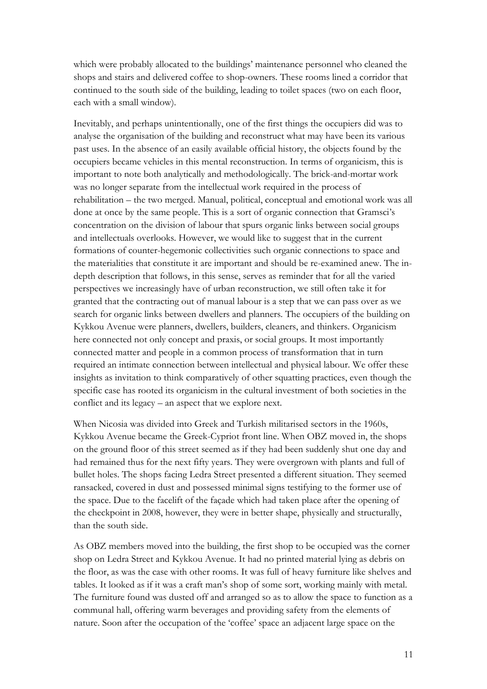which were probably allocated to the buildings' maintenance personnel who cleaned the shops and stairs and delivered coffee to shop-owners. These rooms lined a corridor that continued to the south side of the building, leading to toilet spaces (two on each floor, each with a small window).

Inevitably, and perhaps unintentionally, one of the first things the occupiers did was to analyse the organisation of the building and reconstruct what may have been its various past uses. In the absence of an easily available official history, the objects found by the occupiers became vehicles in this mental reconstruction. In terms of organicism, this is important to note both analytically and methodologically. The brick-and-mortar work was no longer separate from the intellectual work required in the process of rehabilitation – the two merged. Manual, political, conceptual and emotional work was all done at once by the same people. This is a sort of organic connection that Gramsci's concentration on the division of labour that spurs organic links between social groups and intellectuals overlooks. However, we would like to suggest that in the current formations of counter-hegemonic collectivities such organic connections to space and the materialities that constitute it are important and should be re-examined anew. The indepth description that follows, in this sense, serves as reminder that for all the varied perspectives we increasingly have of urban reconstruction, we still often take it for granted that the contracting out of manual labour is a step that we can pass over as we search for organic links between dwellers and planners. The occupiers of the building on Kykkou Avenue were planners, dwellers, builders, cleaners, and thinkers. Organicism here connected not only concept and praxis, or social groups. It most importantly connected matter and people in a common process of transformation that in turn required an intimate connection between intellectual and physical labour. We offer these insights as invitation to think comparatively of other squatting practices, even though the specific case has rooted its organicism in the cultural investment of both societies in the conflict and its legacy – an aspect that we explore next.

When Nicosia was divided into Greek and Turkish militarised sectors in the 1960s, Kykkou Avenue became the Greek-Cypriot front line. When OBZ moved in, the shops on the ground floor of this street seemed as if they had been suddenly shut one day and had remained thus for the next fifty years. They were overgrown with plants and full of bullet holes. The shops facing Ledra Street presented a different situation. They seemed ransacked, covered in dust and possessed minimal signs testifying to the former use of the space. Due to the facelift of the façade which had taken place after the opening of the checkpoint in 2008, however, they were in better shape, physically and structurally, than the south side.

As OBZ members moved into the building, the first shop to be occupied was the corner shop on Ledra Street and Kykkou Avenue. It had no printed material lying as debris on the floor, as was the case with other rooms. It was full of heavy furniture like shelves and tables. It looked as if it was a craft man's shop of some sort, working mainly with metal. The furniture found was dusted off and arranged so as to allow the space to function as a communal hall, offering warm beverages and providing safety from the elements of nature. Soon after the occupation of the 'coffee' space an adjacent large space on the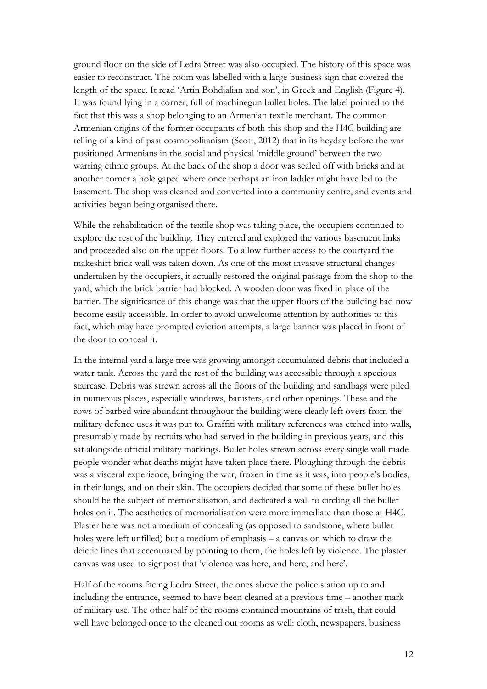ground floor on the side of Ledra Street was also occupied. The history of this space was easier to reconstruct. The room was labelled with a large business sign that covered the length of the space. It read 'Artin Bohdjalian and son', in Greek and English (Figure 4). It was found lying in a corner, full of machinegun bullet holes. The label pointed to the fact that this was a shop belonging to an Armenian textile merchant. The common Armenian origins of the former occupants of both this shop and the H4C building are telling of a kind of past cosmopolitanism (Scott, 2012) that in its heyday before the war positioned Armenians in the social and physical 'middle ground' between the two warring ethnic groups. At the back of the shop a door was sealed off with bricks and at another corner a hole gaped where once perhaps an iron ladder might have led to the basement. The shop was cleaned and converted into a community centre, and events and activities began being organised there.

While the rehabilitation of the textile shop was taking place, the occupiers continued to explore the rest of the building. They entered and explored the various basement links and proceeded also on the upper floors. To allow further access to the courtyard the makeshift brick wall was taken down. As one of the most invasive structural changes undertaken by the occupiers, it actually restored the original passage from the shop to the yard, which the brick barrier had blocked. A wooden door was fixed in place of the barrier. The significance of this change was that the upper floors of the building had now become easily accessible. In order to avoid unwelcome attention by authorities to this fact, which may have prompted eviction attempts, a large banner was placed in front of the door to conceal it.

In the internal yard a large tree was growing amongst accumulated debris that included a water tank. Across the yard the rest of the building was accessible through a specious staircase. Debris was strewn across all the floors of the building and sandbags were piled in numerous places, especially windows, banisters, and other openings. These and the rows of barbed wire abundant throughout the building were clearly left overs from the military defence uses it was put to. Graffiti with military references was etched into walls, presumably made by recruits who had served in the building in previous years, and this sat alongside official military markings. Bullet holes strewn across every single wall made people wonder what deaths might have taken place there. Ploughing through the debris was a visceral experience, bringing the war, frozen in time as it was, into people's bodies, in their lungs, and on their skin. The occupiers decided that some of these bullet holes should be the subject of memorialisation, and dedicated a wall to circling all the bullet holes on it. The aesthetics of memorialisation were more immediate than those at H4C. Plaster here was not a medium of concealing (as opposed to sandstone, where bullet holes were left unfilled) but a medium of emphasis – a canvas on which to draw the deictic lines that accentuated by pointing to them, the holes left by violence. The plaster canvas was used to signpost that 'violence was here, and here, and here'.

Half of the rooms facing Ledra Street, the ones above the police station up to and including the entrance, seemed to have been cleaned at a previous time – another mark of military use. The other half of the rooms contained mountains of trash, that could well have belonged once to the cleaned out rooms as well: cloth, newspapers, business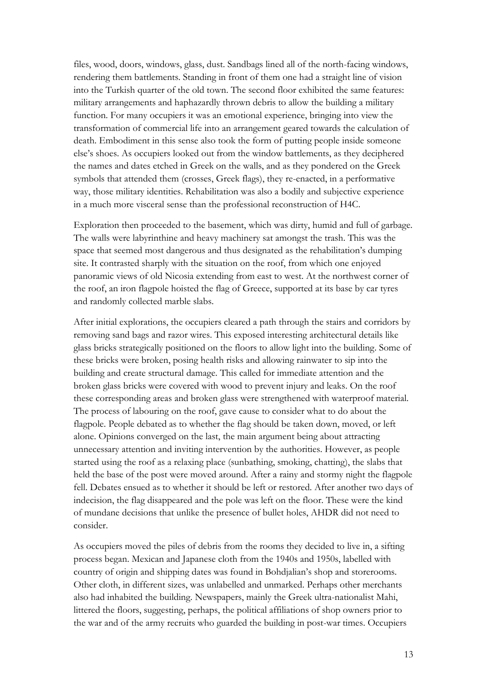files, wood, doors, windows, glass, dust. Sandbags lined all of the north-facing windows, rendering them battlements. Standing in front of them one had a straight line of vision into the Turkish quarter of the old town. The second floor exhibited the same features: military arrangements and haphazardly thrown debris to allow the building a military function. For many occupiers it was an emotional experience, bringing into view the transformation of commercial life into an arrangement geared towards the calculation of death. Embodiment in this sense also took the form of putting people inside someone else's shoes. As occupiers looked out from the window battlements, as they deciphered the names and dates etched in Greek on the walls, and as they pondered on the Greek symbols that attended them (crosses, Greek flags), they re-enacted, in a performative way, those military identities. Rehabilitation was also a bodily and subjective experience in a much more visceral sense than the professional reconstruction of H4C.

Exploration then proceeded to the basement, which was dirty, humid and full of garbage. The walls were labyrinthine and heavy machinery sat amongst the trash. This was the space that seemed most dangerous and thus designated as the rehabilitation's dumping site. It contrasted sharply with the situation on the roof, from which one enjoyed panoramic views of old Nicosia extending from east to west. At the northwest corner of the roof, an iron flagpole hoisted the flag of Greece, supported at its base by car tyres and randomly collected marble slabs.

After initial explorations, the occupiers cleared a path through the stairs and corridors by removing sand bags and razor wires. This exposed interesting architectural details like glass bricks strategically positioned on the floors to allow light into the building. Some of these bricks were broken, posing health risks and allowing rainwater to sip into the building and create structural damage. This called for immediate attention and the broken glass bricks were covered with wood to prevent injury and leaks. On the roof these corresponding areas and broken glass were strengthened with waterproof material. The process of labouring on the roof, gave cause to consider what to do about the flagpole. People debated as to whether the flag should be taken down, moved, or left alone. Opinions converged on the last, the main argument being about attracting unnecessary attention and inviting intervention by the authorities. However, as people started using the roof as a relaxing place (sunbathing, smoking, chatting), the slabs that held the base of the post were moved around. After a rainy and stormy night the flagpole fell. Debates ensued as to whether it should be left or restored. After another two days of indecision, the flag disappeared and the pole was left on the floor. These were the kind of mundane decisions that unlike the presence of bullet holes, AHDR did not need to consider.

As occupiers moved the piles of debris from the rooms they decided to live in, a sifting process began. Mexican and Japanese cloth from the 1940s and 1950s, labelled with country of origin and shipping dates was found in Bohdjalian's shop and storerooms. Other cloth, in different sizes, was unlabelled and unmarked. Perhaps other merchants also had inhabited the building. Newspapers, mainly the Greek ultra-nationalist Mahi, littered the floors, suggesting, perhaps, the political affiliations of shop owners prior to the war and of the army recruits who guarded the building in post-war times. Occupiers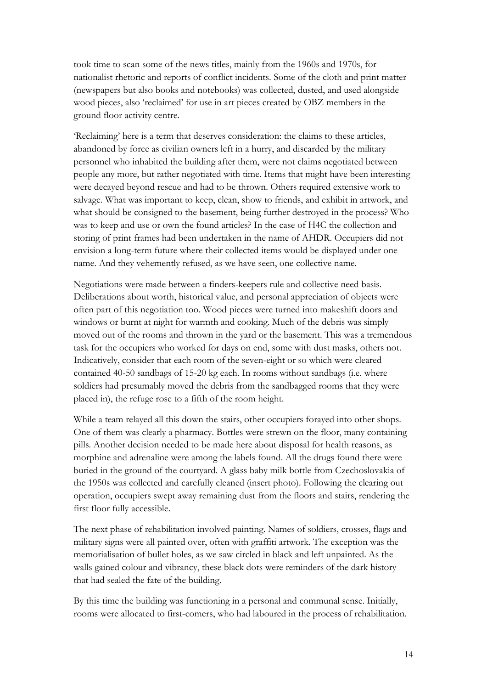took time to scan some of the news titles, mainly from the 1960s and 1970s, for nationalist rhetoric and reports of conflict incidents. Some of the cloth and print matter (newspapers but also books and notebooks) was collected, dusted, and used alongside wood pieces, also 'reclaimed' for use in art pieces created by OBZ members in the ground floor activity centre.

'Reclaiming' here is a term that deserves consideration: the claims to these articles, abandoned by force as civilian owners left in a hurry, and discarded by the military personnel who inhabited the building after them, were not claims negotiated between people any more, but rather negotiated with time. Items that might have been interesting were decayed beyond rescue and had to be thrown. Others required extensive work to salvage. What was important to keep, clean, show to friends, and exhibit in artwork, and what should be consigned to the basement, being further destroyed in the process? Who was to keep and use or own the found articles? In the case of H4C the collection and storing of print frames had been undertaken in the name of AHDR. Occupiers did not envision a long-term future where their collected items would be displayed under one name. And they vehemently refused, as we have seen, one collective name.

Negotiations were made between a finders-keepers rule and collective need basis. Deliberations about worth, historical value, and personal appreciation of objects were often part of this negotiation too. Wood pieces were turned into makeshift doors and windows or burnt at night for warmth and cooking. Much of the debris was simply moved out of the rooms and thrown in the yard or the basement. This was a tremendous task for the occupiers who worked for days on end, some with dust masks, others not. Indicatively, consider that each room of the seven-eight or so which were cleared contained 40-50 sandbags of 15-20 kg each. In rooms without sandbags (i.e. where soldiers had presumably moved the debris from the sandbagged rooms that they were placed in), the refuge rose to a fifth of the room height.

While a team relayed all this down the stairs, other occupiers forayed into other shops. One of them was clearly a pharmacy. Bottles were strewn on the floor, many containing pills. Another decision needed to be made here about disposal for health reasons, as morphine and adrenaline were among the labels found. All the drugs found there were buried in the ground of the courtyard. A glass baby milk bottle from Czechoslovakia of the 1950s was collected and carefully cleaned (insert photo). Following the clearing out operation, occupiers swept away remaining dust from the floors and stairs, rendering the first floor fully accessible.

The next phase of rehabilitation involved painting. Names of soldiers, crosses, flags and military signs were all painted over, often with graffiti artwork. The exception was the memorialisation of bullet holes, as we saw circled in black and left unpainted. As the walls gained colour and vibrancy, these black dots were reminders of the dark history that had sealed the fate of the building.

By this time the building was functioning in a personal and communal sense. Initially, rooms were allocated to first-comers, who had laboured in the process of rehabilitation.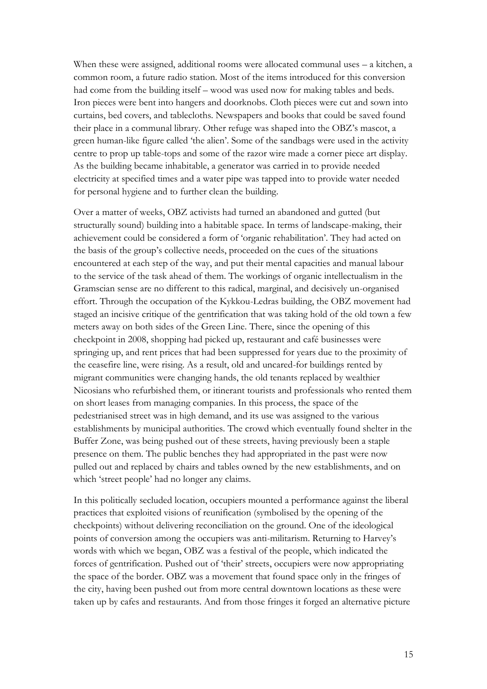When these were assigned, additional rooms were allocated communal uses  $-$  a kitchen, a common room, a future radio station. Most of the items introduced for this conversion had come from the building itself – wood was used now for making tables and beds. Iron pieces were bent into hangers and doorknobs. Cloth pieces were cut and sown into curtains, bed covers, and tablecloths. Newspapers and books that could be saved found their place in a communal library. Other refuge was shaped into the OBZ's mascot, a green human-like figure called 'the alien'. Some of the sandbags were used in the activity centre to prop up table-tops and some of the razor wire made a corner piece art display. As the building became inhabitable, a generator was carried in to provide needed electricity at specified times and a water pipe was tapped into to provide water needed for personal hygiene and to further clean the building.

Over a matter of weeks, OBZ activists had turned an abandoned and gutted (but structurally sound) building into a habitable space. In terms of landscape-making, their achievement could be considered a form of 'organic rehabilitation'. They had acted on the basis of the group's collective needs, proceeded on the cues of the situations encountered at each step of the way, and put their mental capacities and manual labour to the service of the task ahead of them. The workings of organic intellectualism in the Gramscian sense are no different to this radical, marginal, and decisively un-organised effort. Through the occupation of the Kykkou-Ledras building, the OBZ movement had staged an incisive critique of the gentrification that was taking hold of the old town a few meters away on both sides of the Green Line. There, since the opening of this checkpoint in 2008, shopping had picked up, restaurant and café businesses were springing up, and rent prices that had been suppressed for years due to the proximity of the ceasefire line, were rising. As a result, old and uncared-for buildings rented by migrant communities were changing hands, the old tenants replaced by wealthier Nicosians who refurbished them, or itinerant tourists and professionals who rented them on short leases from managing companies. In this process, the space of the pedestrianised street was in high demand, and its use was assigned to the various establishments by municipal authorities. The crowd which eventually found shelter in the Buffer Zone, was being pushed out of these streets, having previously been a staple presence on them. The public benches they had appropriated in the past were now pulled out and replaced by chairs and tables owned by the new establishments, and on which 'street people' had no longer any claims.

In this politically secluded location, occupiers mounted a performance against the liberal practices that exploited visions of reunification (symbolised by the opening of the checkpoints) without delivering reconciliation on the ground. One of the ideological points of conversion among the occupiers was anti-militarism. Returning to Harvey's words with which we began, OBZ was a festival of the people, which indicated the forces of gentrification. Pushed out of 'their' streets, occupiers were now appropriating the space of the border. OBZ was a movement that found space only in the fringes of the city, having been pushed out from more central downtown locations as these were taken up by cafes and restaurants. And from those fringes it forged an alternative picture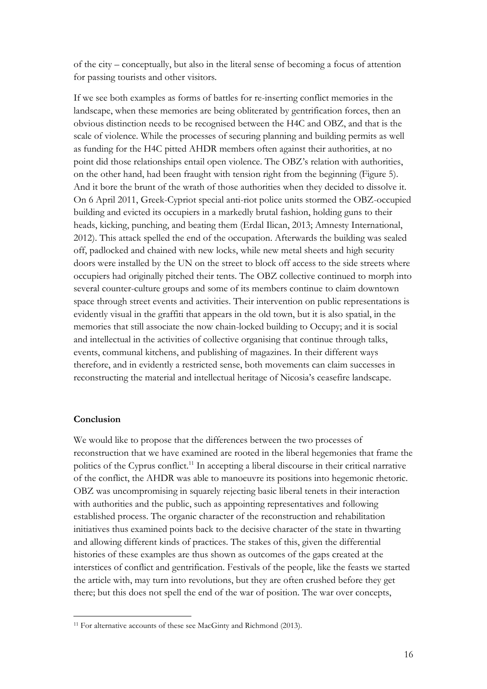of the city – conceptually, but also in the literal sense of becoming a focus of attention for passing tourists and other visitors.

If we see both examples as forms of battles for re-inserting conflict memories in the landscape, when these memories are being obliterated by gentrification forces, then an obvious distinction needs to be recognised between the H4C and OBZ, and that is the scale of violence. While the processes of securing planning and building permits as well as funding for the H4C pitted AHDR members often against their authorities, at no point did those relationships entail open violence. The OBZ's relation with authorities, on the other hand, had been fraught with tension right from the beginning (Figure 5). And it bore the brunt of the wrath of those authorities when they decided to dissolve it. On 6 April 2011, Greek-Cypriot special anti-riot police units stormed the OBZ-occupied building and evicted its occupiers in a markedly brutal fashion, holding guns to their heads, kicking, punching, and beating them (Erdal Ilican, 2013; Amnesty International, 2012). This attack spelled the end of the occupation. Afterwards the building was sealed off, padlocked and chained with new locks, while new metal sheets and high security doors were installed by the UN on the street to block off access to the side streets where occupiers had originally pitched their tents. The OBZ collective continued to morph into several counter-culture groups and some of its members continue to claim downtown space through street events and activities. Their intervention on public representations is evidently visual in the graffiti that appears in the old town, but it is also spatial, in the memories that still associate the now chain-locked building to Occupy; and it is social and intellectual in the activities of collective organising that continue through talks, events, communal kitchens, and publishing of magazines. In their different ways therefore, and in evidently a restricted sense, both movements can claim successes in reconstructing the material and intellectual heritage of Nicosia's ceasefire landscape.

## **Conclusion**

-

We would like to propose that the differences between the two processes of reconstruction that we have examined are rooted in the liberal hegemonies that frame the politics of the Cyprus conflict.<sup>11</sup> In accepting a liberal discourse in their critical narrative of the conflict, the AHDR was able to manoeuvre its positions into hegemonic rhetoric. OBZ was uncompromising in squarely rejecting basic liberal tenets in their interaction with authorities and the public, such as appointing representatives and following established process. The organic character of the reconstruction and rehabilitation initiatives thus examined points back to the decisive character of the state in thwarting and allowing different kinds of practices. The stakes of this, given the differential histories of these examples are thus shown as outcomes of the gaps created at the interstices of conflict and gentrification. Festivals of the people, like the feasts we started the article with, may turn into revolutions, but they are often crushed before they get there; but this does not spell the end of the war of position. The war over concepts,

<sup>&</sup>lt;sup>11</sup> For alternative accounts of these see MacGinty and Richmond (2013).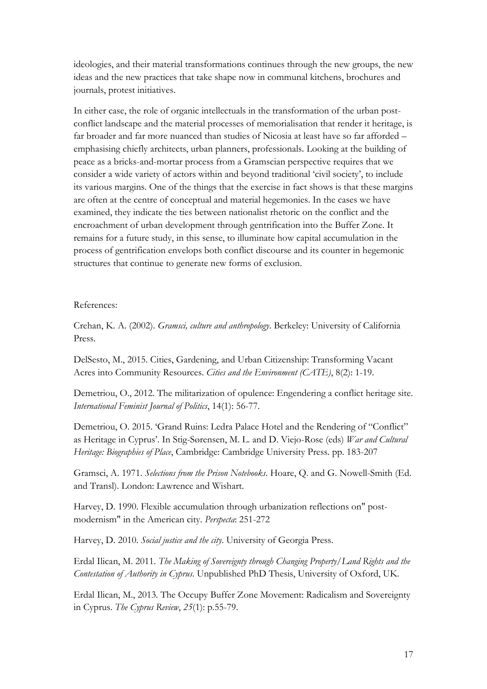ideologies, and their material transformations continues through the new groups, the new ideas and the new practices that take shape now in communal kitchens, brochures and journals, protest initiatives.

In either case, the role of organic intellectuals in the transformation of the urban postconflict landscape and the material processes of memorialisation that render it heritage, is far broader and far more nuanced than studies of Nicosia at least have so far afforded – emphasising chiefly architects, urban planners, professionals. Looking at the building of peace as a bricks-and-mortar process from a Gramscian perspective requires that we consider a wide variety of actors within and beyond traditional 'civil society', to include its various margins. One of the things that the exercise in fact shows is that these margins are often at the centre of conceptual and material hegemonies. In the cases we have examined, they indicate the ties between nationalist rhetoric on the conflict and the encroachment of urban development through gentrification into the Buffer Zone. It remains for a future study, in this sense, to illuminate how capital accumulation in the process of gentrification envelops both conflict discourse and its counter in hegemonic structures that continue to generate new forms of exclusion.

#### References:

Crehan, K. A. (2002). *Gramsci, culture and anthropology*. Berkeley: University of California Press.

DelSesto, M., 2015. Cities, Gardening, and Urban Citizenship: Transforming Vacant Acres into Community Resources. *Cities and the Environment (CATE)*, 8(2): 1-19.

Demetriou, O., 2012. The militarization of opulence: Engendering a conflict heritage site. *International Feminist Journal of Politics*, 14(1): 56-77.

Demetriou, O. 2015. 'Grand Ruins: Ledra Palace Hotel and the Rendering of "Conflict" as Heritage in Cyprus'. In Stig-Sørensen, M. L. and D. Viejo-Rose (eds) *War and Cultural Heritage: Biographies of Place*, Cambridge: Cambridge University Press. pp. 183-207

Gramsci, A. 1971. *Selections from the Prison Notebooks*. Hoare, Q. and G. Nowell-Smith (Ed. and Transl). London: Lawrence and Wishart.

Harvey, D. 1990. Flexible accumulation through urbanization reflections on" postmodernism" in the American city. *Perspecta*: 251-272

Harvey, D. 2010. *Social justice and the city*. University of Georgia Press.

Erdal Ilican, M. 2011. *The Making of Sovereignty through Changing Property/Land Rights and the Contestation of Authority in Cyprus*. Unpublished PhD Thesis, University of Oxford, UK.

Erdal Ilican, M., 2013. The Occupy Buffer Zone Movement: Radicalism and Sovereignty in Cyprus. *The Cyprus Review*, *25*(1): p.55-79.